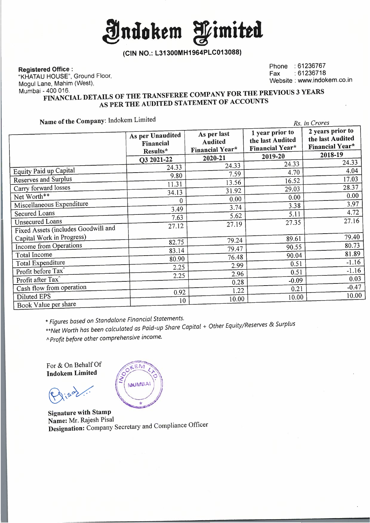**indokem fimitttl** 

**(CIN NO.: L31300MH1964PLC013088)** 

**Registered Office :** 

"KHATAU HOUSE", Ground Floor, Mogul Lane, Mahim (West),

Phone : 61236767 Fax :61236718 Website : www.indokem.co.in

## Mumbai - 400 016. **FINANCIAL DETAILS OF THE TRANSFEREE COMPANY FOR THE PREVIOUS 3 YEARS AS PER THE AUDITED STATEMENT OF ACCOUNTS**

**Name of the Company:** Indokem Limited

| Name of the Company: mookem Limited |                                           |                                                  |                                                               | Rs. in Crores                                                  |
|-------------------------------------|-------------------------------------------|--------------------------------------------------|---------------------------------------------------------------|----------------------------------------------------------------|
|                                     | As per Unaudited<br>Financial<br>Results* | As per last<br><b>Audited</b><br>Financial Year* | 1 year prior to<br>the last Audited<br><b>Financial Year*</b> | 2 years prior to<br>the last Audited<br><b>Financial Year*</b> |
|                                     | O3 2021-22                                | 2020-21                                          | 2019-20                                                       | 2018-19                                                        |
|                                     | 24.33                                     | 24.33                                            | 24.33                                                         | 24.33                                                          |
| Equity Paid up Capital              | 9.80                                      | 7.59                                             | 4.70                                                          | 4.04                                                           |
| <b>Reserves and Surplus</b>         | 11.31                                     | 13.56                                            | 16.52                                                         | 17.03                                                          |
| Carry forward losses                | 34.13                                     | 31.92                                            | 29.03                                                         | 28.37                                                          |
| Net Worth**                         | 0                                         | 0.00                                             | 0.00                                                          | 0.00                                                           |
| Miscellaneous Expenditure           | 3.49                                      | 3.74                                             | 3.38                                                          | 3.97                                                           |
| <b>Secured Loans</b>                |                                           | 5.62                                             | 5.11                                                          | 4.72                                                           |
| <b>Unsecured Loans</b>              | 7.63                                      | 27.19                                            | 27.35                                                         | 27.16                                                          |
| Fixed Assets (includes Goodwill and | 27.12                                     |                                                  |                                                               |                                                                |
| Capital Work in Progress)           |                                           | 79.24                                            | 89.61                                                         | 79.40                                                          |
| <b>Income from Operations</b>       | 82.75                                     | 79.47                                            | 90.55                                                         | 80.73                                                          |
| Total Income                        | 83.14                                     |                                                  | 90.04                                                         | 81.89                                                          |
| Total Expenditure                   | 80.90                                     | 76.48                                            | 0.51                                                          | $-1.16$                                                        |
| Profit before Tax <sup>^</sup>      | 2.25                                      | 2.99                                             | 0.51                                                          | $-1.16$                                                        |
| Profit after Tax <sup>^</sup>       | 2.25                                      | 2.96                                             | $-0.09$                                                       | 0.03                                                           |
| Cash flow from operation            |                                           | 0.28                                             |                                                               | $-0.47$                                                        |
|                                     | 0.92                                      | 1.22                                             | 0.21                                                          | 10.00                                                          |
| Diluted EPS                         | 10                                        | 10.00                                            | 10.00                                                         |                                                                |
| Book Value per share                |                                           |                                                  |                                                               |                                                                |

\* *Figures based on Standalone Financial Statements.* 

*\*\*Net Worth has been calculated as Paid-up Share Capital* + *Other Equity/Reserves* & *Surplus* 

<sup>A</sup>*Profit before other comprehensive income.* 

For & On Behalf Of **lndokem Limited** 

LEM **MUMBAI** 

**Signature with Stamp Name:** Mr. Rajesh Pisal **Designation:** Company Secretary and Compliance Officer